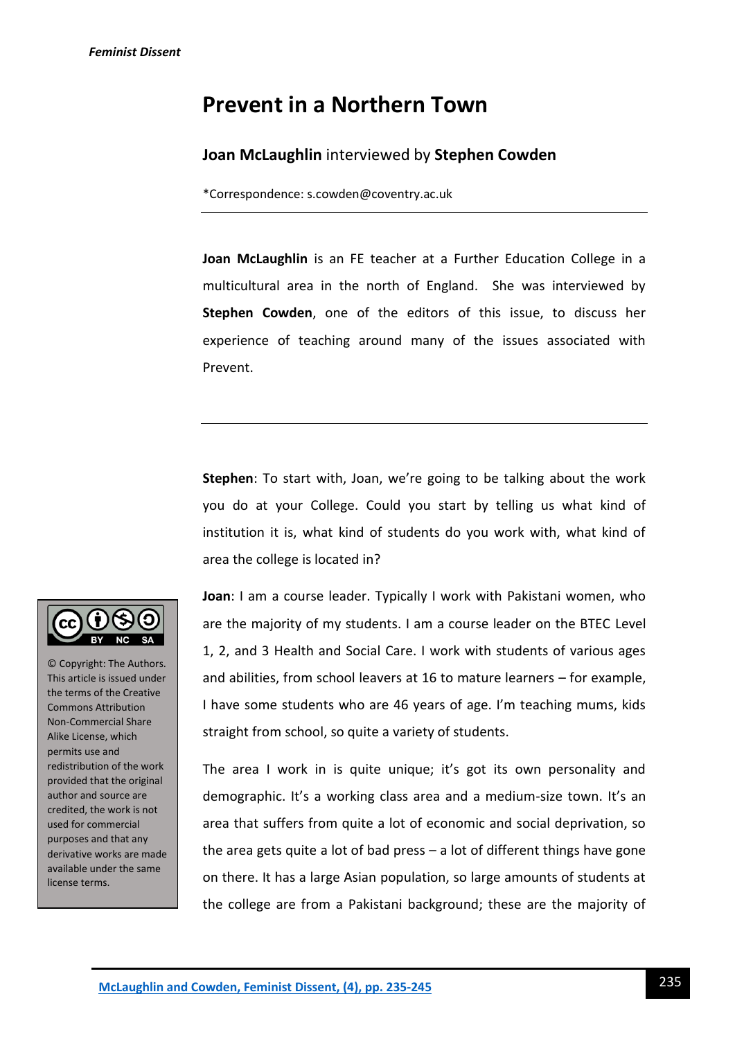# **Prevent in a Northern Town**

## **Joan McLaughlin** interviewed by **Stephen Cowden**

\*Correspondence: s.cowden@coventry.ac.uk

**Joan McLaughlin** is an FE teacher at a Further Education College in a multicultural area in the north of England. She was interviewed by **Stephen Cowden**, one of the editors of this issue, to discuss her experience of teaching around many of the issues associated with Prevent.

**Stephen**: To start with, Joan, we're going to be talking about the work you do at your College. Could you start by telling us what kind of institution it is, what kind of students do you work with, what kind of area the college is located in?



© Copyright: The Authors. This article is issued under the terms of the Creative Commons Attribution Non-Commercial Share Alike License, which permits use and redistribution of the work provided that the original author and source are credited, the work is not used for commercial purposes and that any derivative works are made available under the same license terms.

**Joan**: I am a course leader. Typically I work with Pakistani women, who are the majority of my students. I am a course leader on the BTEC Level 1, 2, and 3 Health and Social Care. I work with students of various ages and abilities, from school leavers at 16 to mature learners – for example, I have some students who are 46 years of age. I'm teaching mums, kids straight from school, so quite a variety of students.

The area I work in is quite unique; it's got its own personality and demographic. It's a working class area and a medium-size town. It's an area that suffers from quite a lot of economic and social deprivation, so the area gets quite a lot of bad press – a lot of different things have gone on there. It has a large Asian population, so large amounts of students at the college are from a Pakistani background; these are the majority of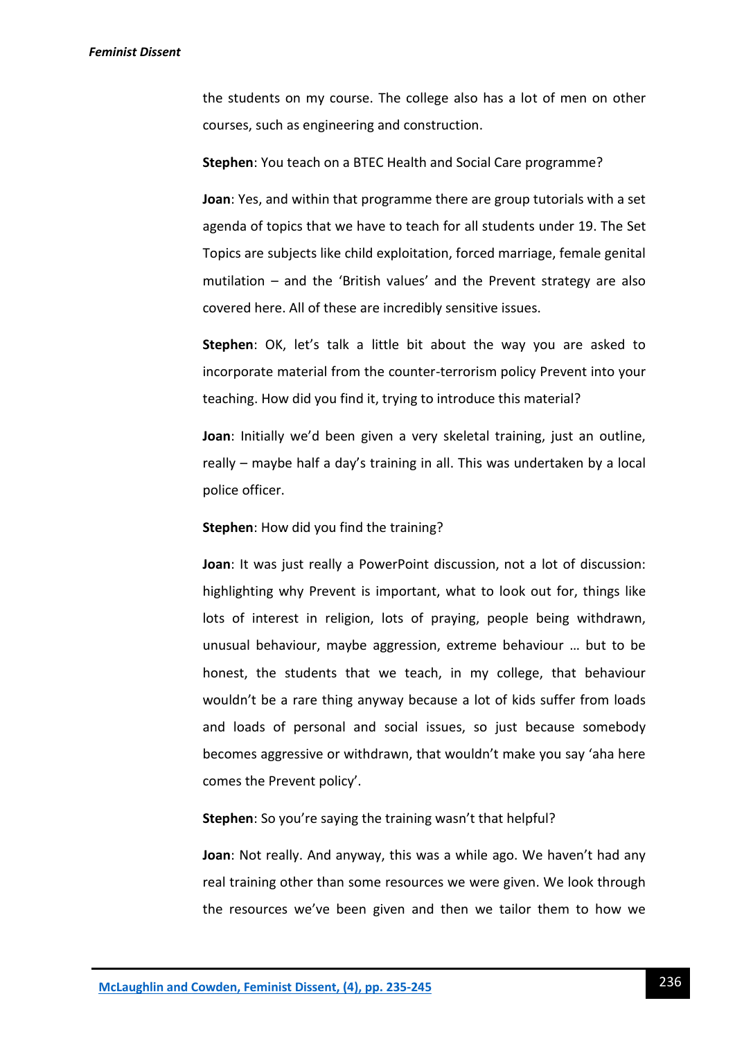the students on my course. The college also has a lot of men on other courses, such as engineering and construction.

**Stephen**: You teach on a BTEC Health and Social Care programme?

**Joan**: Yes, and within that programme there are group tutorials with a set agenda of topics that we have to teach for all students under 19. The Set Topics are subjects like child exploitation, forced marriage, female genital mutilation – and the 'British values' and the Prevent strategy are also covered here. All of these are incredibly sensitive issues.

**Stephen**: OK, let's talk a little bit about the way you are asked to incorporate material from the counter-terrorism policy Prevent into your teaching. How did you find it, trying to introduce this material?

**Joan**: Initially we'd been given a very skeletal training, just an outline, really – maybe half a day's training in all. This was undertaken by a local police officer.

**Stephen**: How did you find the training?

**Joan**: It was just really a PowerPoint discussion, not a lot of discussion: highlighting why Prevent is important, what to look out for, things like lots of interest in religion, lots of praying, people being withdrawn, unusual behaviour, maybe aggression, extreme behaviour … but to be honest, the students that we teach, in my college, that behaviour wouldn't be a rare thing anyway because a lot of kids suffer from loads and loads of personal and social issues, so just because somebody becomes aggressive or withdrawn, that wouldn't make you say 'aha here comes the Prevent policy'.

**Stephen**: So you're saying the training wasn't that helpful?

**Joan**: Not really. And anyway, this was a while ago. We haven't had any real training other than some resources we were given. We look through the resources we've been given and then we tailor them to how we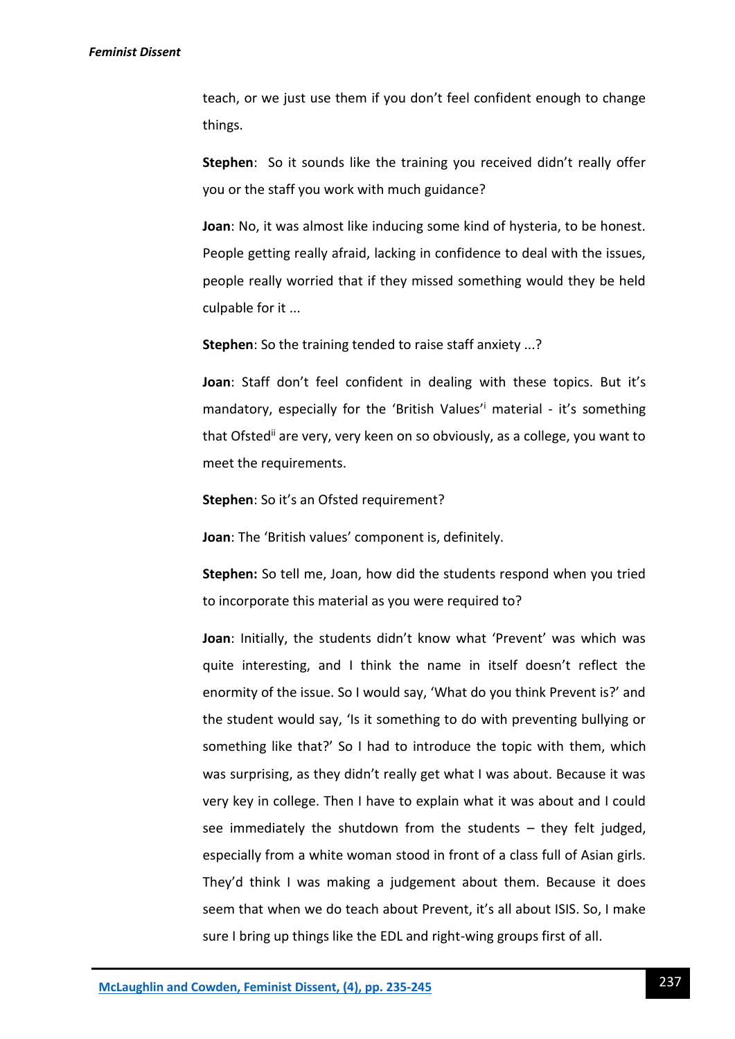teach, or we just use them if you don't feel confident enough to change things.

**Stephen**: So it sounds like the training you received didn't really offer you or the staff you work with much guidance?

**Joan**: No, it was almost like inducing some kind of hysteria, to be honest. People getting really afraid, lacking in confidence to deal with the issues, people really worried that if they missed something would they be held culpable for it ...

**Stephen**: So the training tended to raise staff anxiety ...?

**Joan**: Staff don't feel confident in dealing with these topics. But it's mandatory, especially for the 'British Values'<sup>i</sup> material - it's something that Ofstedii are very, very keen on so obviously, as a college, you want to meet the requirements.

**Stephen**: So it's an Ofsted requirement?

**Joan**: The 'British values' component is, definitely.

**Stephen:** So tell me, Joan, how did the students respond when you tried to incorporate this material as you were required to?

**Joan**: Initially, the students didn't know what 'Prevent' was which was quite interesting, and I think the name in itself doesn't reflect the enormity of the issue. So I would say, 'What do you think Prevent is?' and the student would say, 'Is it something to do with preventing bullying or something like that?' So I had to introduce the topic with them, which was surprising, as they didn't really get what I was about. Because it was very key in college. Then I have to explain what it was about and I could see immediately the shutdown from the students – they felt judged, especially from a white woman stood in front of a class full of Asian girls. They'd think I was making a judgement about them. Because it does seem that when we do teach about Prevent, it's all about ISIS. So, I make sure I bring up things like the EDL and right-wing groups first of all.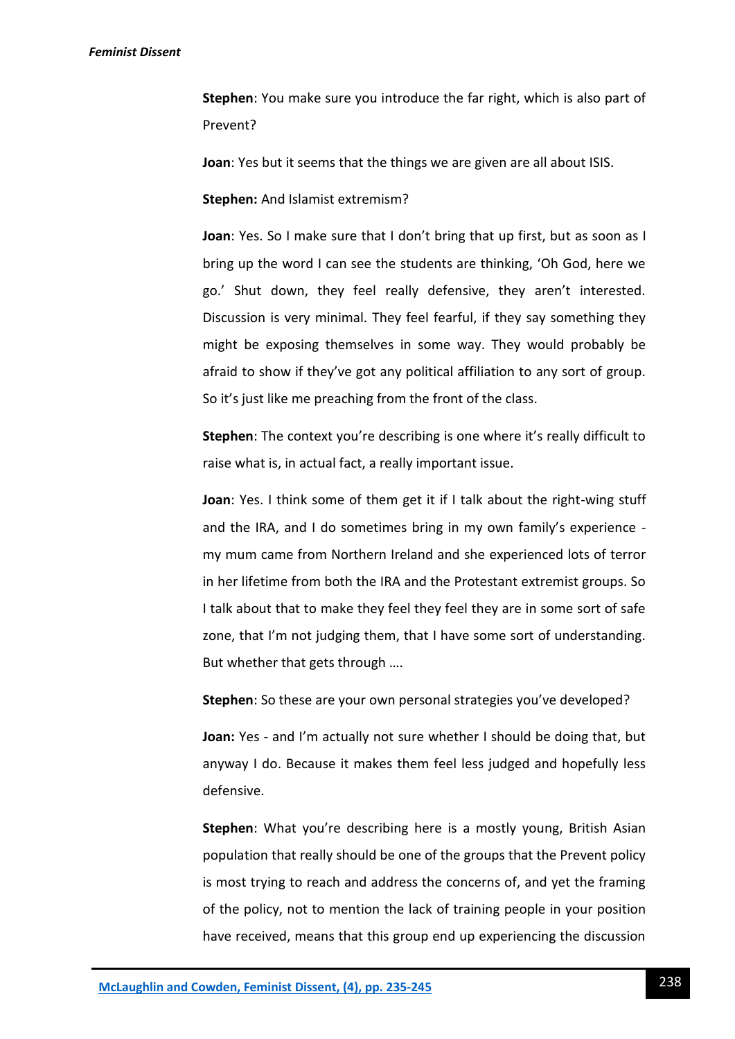**Stephen**: You make sure you introduce the far right, which is also part of Prevent?

**Joan**: Yes but it seems that the things we are given are all about ISIS.

**Stephen:** And Islamist extremism?

**Joan**: Yes. So I make sure that I don't bring that up first, but as soon as I bring up the word I can see the students are thinking, 'Oh God, here we go.' Shut down, they feel really defensive, they aren't interested. Discussion is very minimal. They feel fearful, if they say something they might be exposing themselves in some way. They would probably be afraid to show if they've got any political affiliation to any sort of group. So it's just like me preaching from the front of the class.

**Stephen**: The context you're describing is one where it's really difficult to raise what is, in actual fact, a really important issue.

**Joan**: Yes. I think some of them get it if I talk about the right-wing stuff and the IRA, and I do sometimes bring in my own family's experience my mum came from Northern Ireland and she experienced lots of terror in her lifetime from both the IRA and the Protestant extremist groups. So I talk about that to make they feel they feel they are in some sort of safe zone, that I'm not judging them, that I have some sort of understanding. But whether that gets through ….

**Stephen**: So these are your own personal strategies you've developed?

**Joan:** Yes - and I'm actually not sure whether I should be doing that, but anyway I do. Because it makes them feel less judged and hopefully less defensive.

**Stephen**: What you're describing here is a mostly young, British Asian population that really should be one of the groups that the Prevent policy is most trying to reach and address the concerns of, and yet the framing of the policy, not to mention the lack of training people in your position have received, means that this group end up experiencing the discussion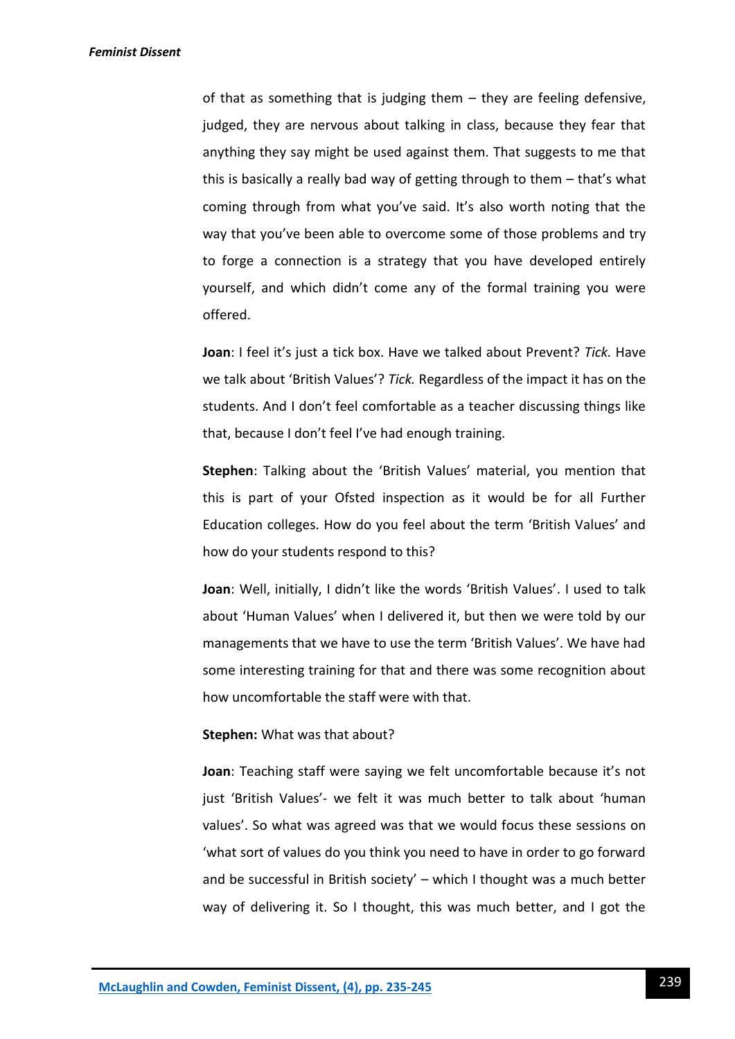*Feminist Dissent*

of that as something that is judging them – they are feeling defensive, judged, they are nervous about talking in class, because they fear that anything they say might be used against them. That suggests to me that this is basically a really bad way of getting through to them – that's what coming through from what you've said. It's also worth noting that the way that you've been able to overcome some of those problems and try to forge a connection is a strategy that you have developed entirely yourself, and which didn't come any of the formal training you were offered.

**Joan**: I feel it's just a tick box. Have we talked about Prevent? *Tick.* Have we talk about 'British Values'? *Tick.* Regardless of the impact it has on the students. And I don't feel comfortable as a teacher discussing things like that, because I don't feel I've had enough training.

**Stephen**: Talking about the 'British Values' material, you mention that this is part of your Ofsted inspection as it would be for all Further Education colleges. How do you feel about the term 'British Values' and how do your students respond to this?

**Joan**: Well, initially, I didn't like the words 'British Values'. I used to talk about 'Human Values' when I delivered it, but then we were told by our managements that we have to use the term 'British Values'. We have had some interesting training for that and there was some recognition about how uncomfortable the staff were with that.

#### **Stephen:** What was that about?

**Joan**: Teaching staff were saying we felt uncomfortable because it's not just 'British Values'- we felt it was much better to talk about 'human values'. So what was agreed was that we would focus these sessions on 'what sort of values do you think you need to have in order to go forward and be successful in British society' – which I thought was a much better way of delivering it. So I thought, this was much better, and I got the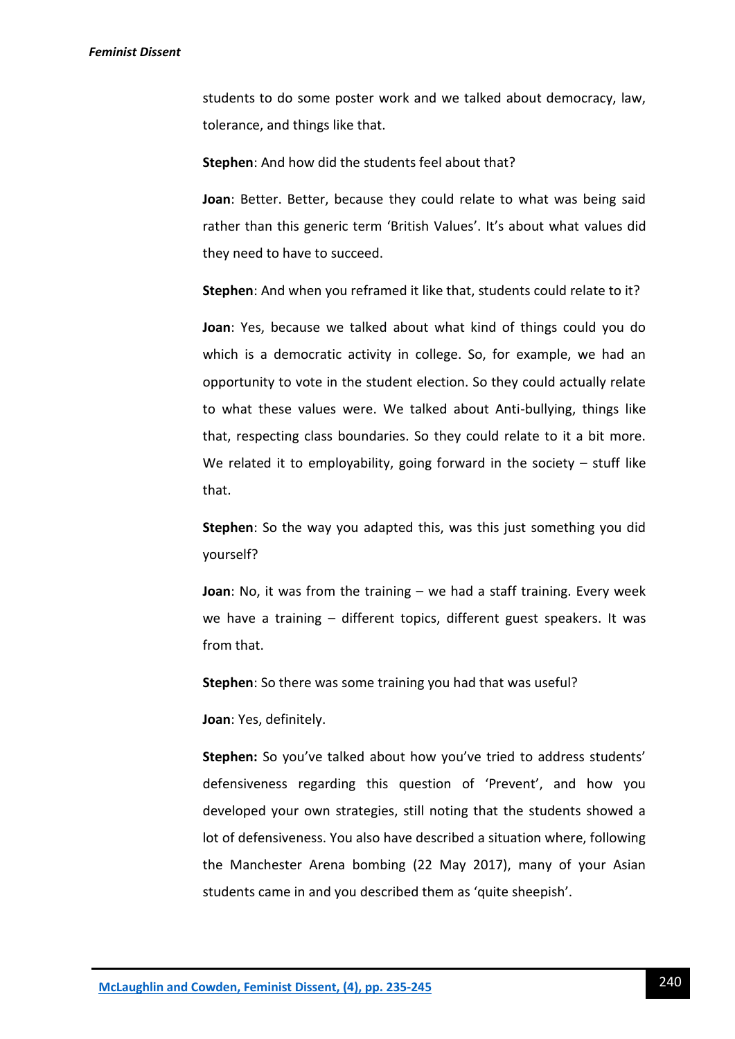students to do some poster work and we talked about democracy, law, tolerance, and things like that.

**Stephen**: And how did the students feel about that?

**Joan**: Better. Better, because they could relate to what was being said rather than this generic term 'British Values'. It's about what values did they need to have to succeed.

**Stephen**: And when you reframed it like that, students could relate to it?

**Joan**: Yes, because we talked about what kind of things could you do which is a democratic activity in college. So, for example, we had an opportunity to vote in the student election. So they could actually relate to what these values were. We talked about Anti-bullying, things like that, respecting class boundaries. So they could relate to it a bit more. We related it to employability, going forward in the society  $-$  stuff like that.

**Stephen**: So the way you adapted this, was this just something you did yourself?

**Joan**: No, it was from the training – we had a staff training. Every week we have a training – different topics, different guest speakers. It was from that.

**Stephen**: So there was some training you had that was useful?

**Joan**: Yes, definitely.

Stephen: So you've talked about how you've tried to address students' defensiveness regarding this question of 'Prevent', and how you developed your own strategies, still noting that the students showed a lot of defensiveness. You also have described a situation where, following the Manchester Arena bombing (22 May 2017), many of your Asian students came in and you described them as 'quite sheepish'.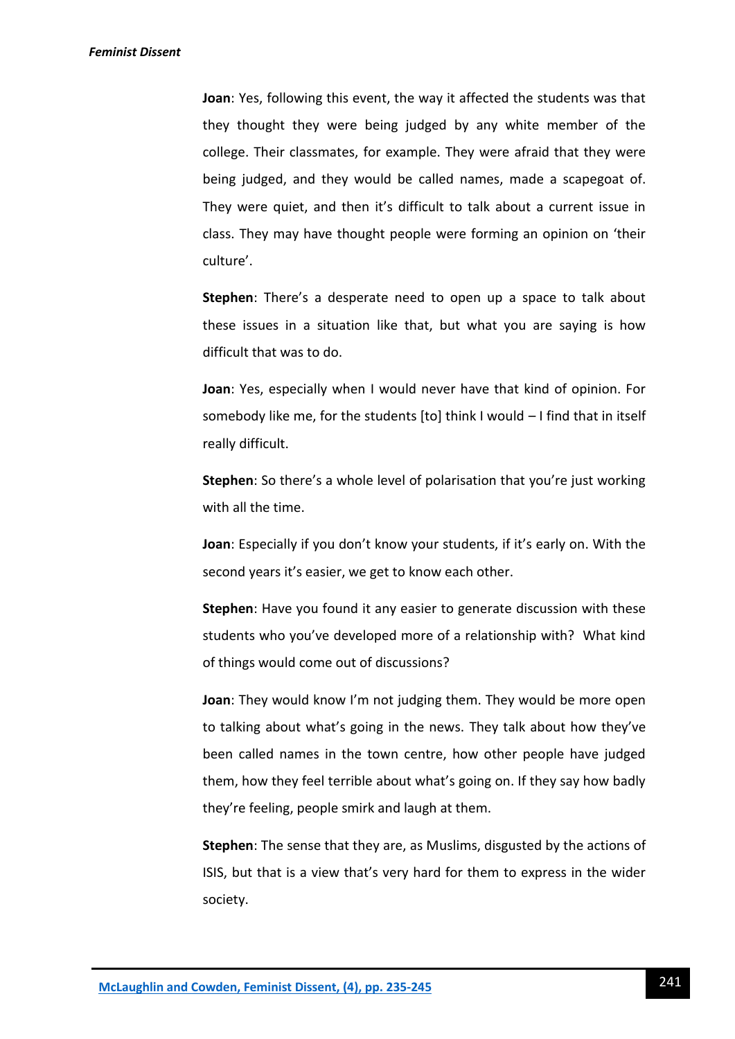**Joan**: Yes, following this event, the way it affected the students was that they thought they were being judged by any white member of the college. Their classmates, for example. They were afraid that they were being judged, and they would be called names, made a scapegoat of. They were quiet, and then it's difficult to talk about a current issue in class. They may have thought people were forming an opinion on 'their culture'.

**Stephen**: There's a desperate need to open up a space to talk about these issues in a situation like that, but what you are saying is how difficult that was to do.

**Joan**: Yes, especially when I would never have that kind of opinion. For somebody like me, for the students [to] think I would – I find that in itself really difficult.

**Stephen**: So there's a whole level of polarisation that you're just working with all the time.

**Joan**: Especially if you don't know your students, if it's early on. With the second years it's easier, we get to know each other.

**Stephen**: Have you found it any easier to generate discussion with these students who you've developed more of a relationship with? What kind of things would come out of discussions?

**Joan**: They would know I'm not judging them. They would be more open to talking about what's going in the news. They talk about how they've been called names in the town centre, how other people have judged them, how they feel terrible about what's going on. If they say how badly they're feeling, people smirk and laugh at them.

**Stephen**: The sense that they are, as Muslims, disgusted by the actions of ISIS, but that is a view that's very hard for them to express in the wider society.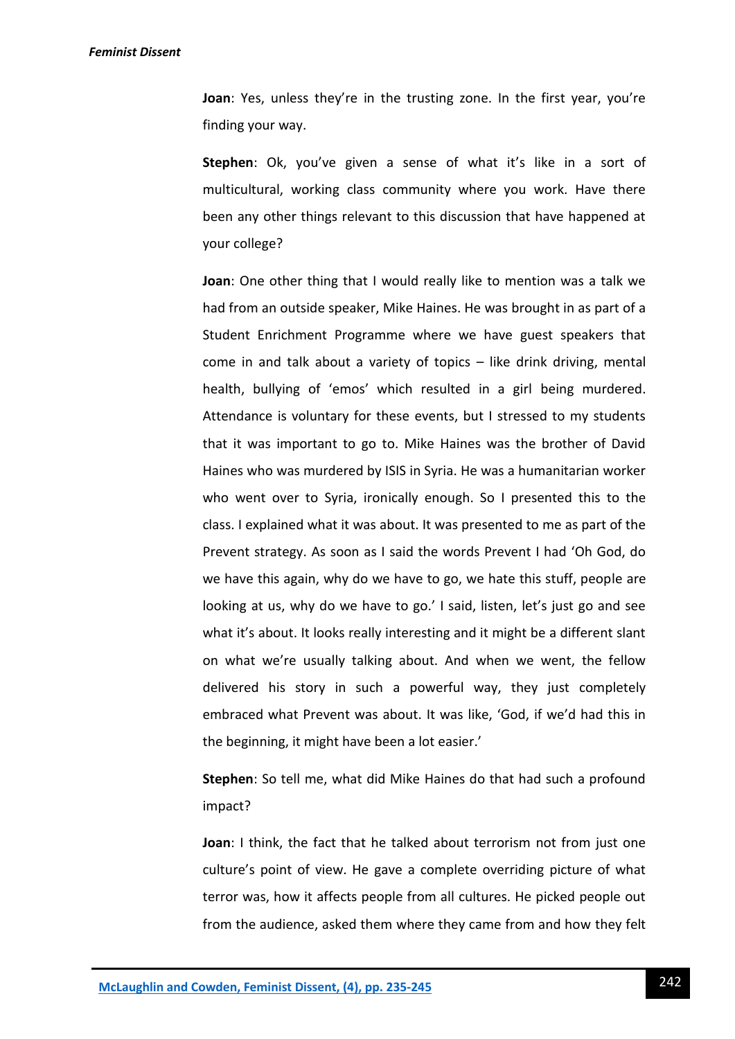**Joan**: Yes, unless they're in the trusting zone. In the first year, you're finding your way.

**Stephen**: Ok, you've given a sense of what it's like in a sort of multicultural, working class community where you work. Have there been any other things relevant to this discussion that have happened at your college?

**Joan**: One other thing that I would really like to mention was a talk we had from an outside speaker, Mike Haines. He was brought in as part of a Student Enrichment Programme where we have guest speakers that come in and talk about a variety of topics – like drink driving, mental health, bullying of 'emos' which resulted in a girl being murdered. Attendance is voluntary for these events, but I stressed to my students that it was important to go to. Mike Haines was the brother of David Haines who was murdered by ISIS in Syria. He was a humanitarian worker who went over to Syria, ironically enough. So I presented this to the class. I explained what it was about. It was presented to me as part of the Prevent strategy. As soon as I said the words Prevent I had 'Oh God, do we have this again, why do we have to go, we hate this stuff, people are looking at us, why do we have to go.' I said, listen, let's just go and see what it's about. It looks really interesting and it might be a different slant on what we're usually talking about. And when we went, the fellow delivered his story in such a powerful way, they just completely embraced what Prevent was about. It was like, 'God, if we'd had this in the beginning, it might have been a lot easier.'

**Stephen**: So tell me, what did Mike Haines do that had such a profound impact?

**Joan**: I think, the fact that he talked about terrorism not from just one culture's point of view. He gave a complete overriding picture of what terror was, how it affects people from all cultures. He picked people out from the audience, asked them where they came from and how they felt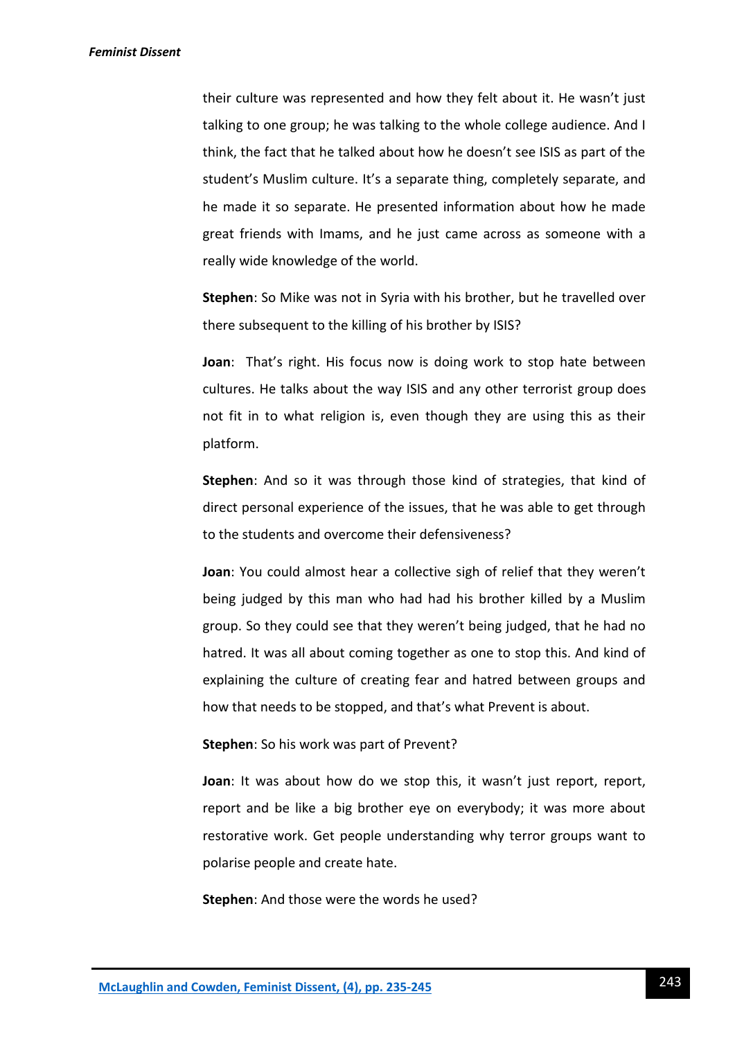their culture was represented and how they felt about it. He wasn't just talking to one group; he was talking to the whole college audience. And I think, the fact that he talked about how he doesn't see ISIS as part of the student's Muslim culture. It's a separate thing, completely separate, and he made it so separate. He presented information about how he made great friends with Imams, and he just came across as someone with a really wide knowledge of the world.

**Stephen**: So Mike was not in Syria with his brother, but he travelled over there subsequent to the killing of his brother by ISIS?

**Joan**: That's right. His focus now is doing work to stop hate between cultures. He talks about the way ISIS and any other terrorist group does not fit in to what religion is, even though they are using this as their platform.

**Stephen**: And so it was through those kind of strategies, that kind of direct personal experience of the issues, that he was able to get through to the students and overcome their defensiveness?

**Joan**: You could almost hear a collective sigh of relief that they weren't being judged by this man who had had his brother killed by a Muslim group. So they could see that they weren't being judged, that he had no hatred. It was all about coming together as one to stop this. And kind of explaining the culture of creating fear and hatred between groups and how that needs to be stopped, and that's what Prevent is about.

#### **Stephen**: So his work was part of Prevent?

**Joan**: It was about how do we stop this, it wasn't just report, report, report and be like a big brother eye on everybody; it was more about restorative work. Get people understanding why terror groups want to polarise people and create hate.

**Stephen**: And those were the words he used?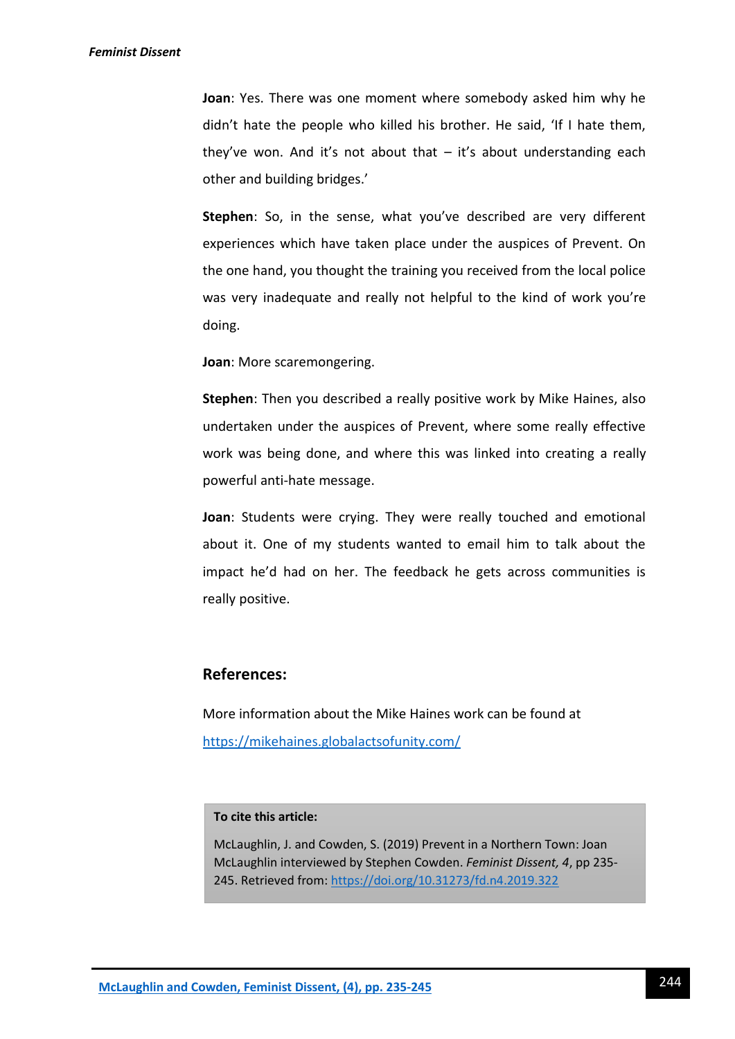**Joan**: Yes. There was one moment where somebody asked him why he didn't hate the people who killed his brother. He said, 'If I hate them, they've won. And it's not about that  $-$  it's about understanding each other and building bridges.'

**Stephen**: So, in the sense, what you've described are very different experiences which have taken place under the auspices of Prevent. On the one hand, you thought the training you received from the local police was very inadequate and really not helpful to the kind of work you're doing.

**Joan**: More scaremongering.

**Stephen**: Then you described a really positive work by Mike Haines, also undertaken under the auspices of Prevent, where some really effective work was being done, and where this was linked into creating a really powerful anti-hate message.

**Joan**: Students were crying. They were really touched and emotional about it. One of my students wanted to email him to talk about the impact he'd had on her. The feedback he gets across communities is really positive.

### **References:**

More information about the Mike Haines work can be found at <https://mikehaines.globalactsofunity.com/>

#### **To cite this article:**

McLaughlin, J. and Cowden, S. (2019) Prevent in a Northern Town: Joan McLaughlin interviewed by Stephen Cowden. *Feminist Dissent, 4*, pp 235- 245. Retrieved from:<https://doi.org/10.31273/fd.n4.2019.322>